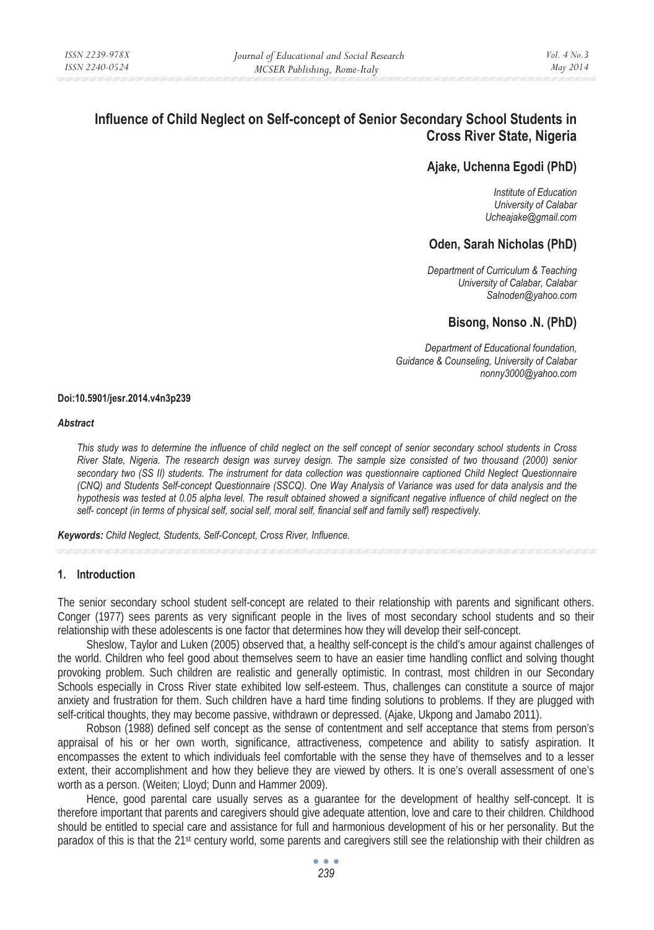# **Influence of Child Neglect on Self-concept of Senior Secondary School Students in Cross River State, Nigeria**

# **Ajake, Uchenna Egodi (PhD)**

*Institute of Education University of Calabar Ucheajake@gmail.com* 

# **Oden, Sarah Nicholas (PhD)**

*Department of Curriculum & Teaching University of Calabar, Calabar Salnoden@yahoo.com* 

# **Bisong, Nonso .N. (PhD)**

*Department of Educational foundation, Guidance & Counseling, University of Calabar nonny3000@yahoo.com* 

#### **Doi:10.5901/jesr.2014.v4n3p239**

#### *Abstract*

*This study was to determine the influence of child neglect on the self concept of senior secondary school students in Cross River State, Nigeria. The research design was survey design. The sample size consisted of two thousand (2000) senior secondary two (SS II) students. The instrument for data collection was questionnaire captioned Child Neglect Questionnaire (CNQ) and Students Self-concept Questionnaire (SSCQ). One Way Analysis of Variance was used for data analysis and the hypothesis was tested at 0.05 alpha level. The result obtained showed a significant negative influence of child neglect on the self- concept (in terms of physical self, social self, moral self, financial self and family self) respectively.* 

*Keywords: Child Neglect, Students, Self-Concept, Cross River, Influence.* 

## **1. Introduction**

The senior secondary school student self-concept are related to their relationship with parents and significant others. Conger (1977) sees parents as very significant people in the lives of most secondary school students and so their relationship with these adolescents is one factor that determines how they will develop their self-concept.

Sheslow, Taylor and Luken (2005) observed that, a healthy self-concept is the child's amour against challenges of the world. Children who feel good about themselves seem to have an easier time handling conflict and solving thought provoking problem. Such children are realistic and generally optimistic. In contrast, most children in our Secondary Schools especially in Cross River state exhibited low self-esteem. Thus, challenges can constitute a source of major anxiety and frustration for them. Such children have a hard time finding solutions to problems. If they are plugged with self-critical thoughts, they may become passive, withdrawn or depressed. (Ajake, Ukpong and Jamabo 2011).

Robson (1988) defined self concept as the sense of contentment and self acceptance that stems from person's appraisal of his or her own worth, significance, attractiveness, competence and ability to satisfy aspiration. It encompasses the extent to which individuals feel comfortable with the sense they have of themselves and to a lesser extent, their accomplishment and how they believe they are viewed by others. It is one's overall assessment of one's worth as a person. (Weiten; Lloyd; Dunn and Hammer 2009).

Hence, good parental care usually serves as a guarantee for the development of healthy self-concept. It is therefore important that parents and caregivers should give adequate attention, love and care to their children. Childhood should be entitled to special care and assistance for full and harmonious development of his or her personality. But the paradox of this is that the 21st century world, some parents and caregivers still see the relationship with their children as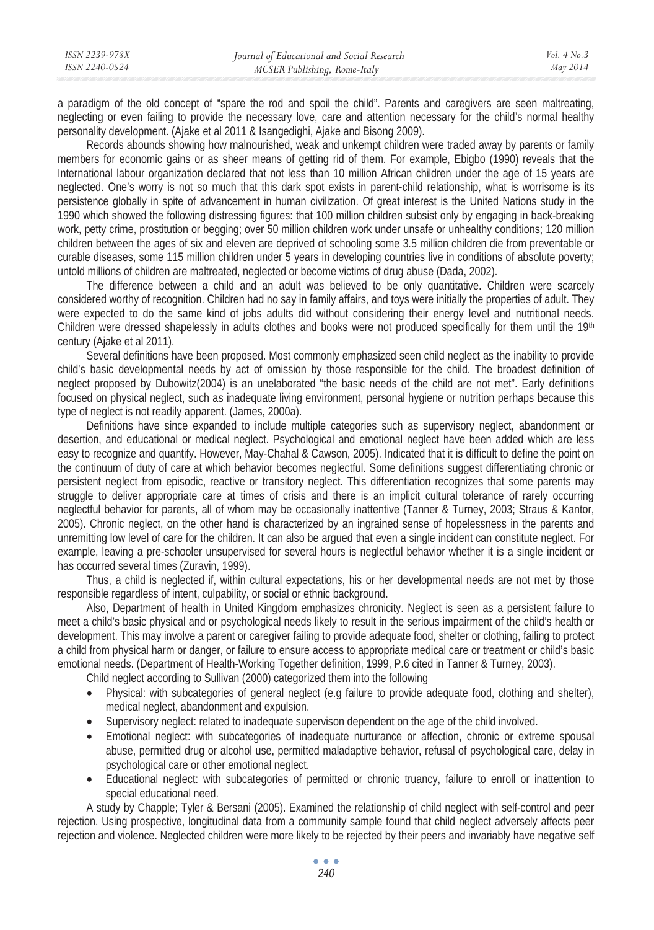| ISSN 2239-978X | Journal of Educational and Social Research | Vol. $4$ No. $3$ |
|----------------|--------------------------------------------|------------------|
| ISSN 2240-0524 | MCSER Publishing, Rome-Italy               | May 2014         |
|                |                                            |                  |

a paradigm of the old concept of "spare the rod and spoil the child". Parents and caregivers are seen maltreating, neglecting or even failing to provide the necessary love, care and attention necessary for the child's normal healthy personality development. (Ajake et al 2011 & Isangedighi, Ajake and Bisong 2009).

Records abounds showing how malnourished, weak and unkempt children were traded away by parents or family members for economic gains or as sheer means of getting rid of them. For example, Ebigbo (1990) reveals that the International labour organization declared that not less than 10 million African children under the age of 15 years are neglected. One's worry is not so much that this dark spot exists in parent-child relationship, what is worrisome is its persistence globally in spite of advancement in human civilization. Of great interest is the United Nations study in the 1990 which showed the following distressing figures: that 100 million children subsist only by engaging in back-breaking work, petty crime, prostitution or begging; over 50 million children work under unsafe or unhealthy conditions; 120 million children between the ages of six and eleven are deprived of schooling some 3.5 million children die from preventable or curable diseases, some 115 million children under 5 years in developing countries live in conditions of absolute poverty; untold millions of children are maltreated, neglected or become victims of drug abuse (Dada, 2002).

The difference between a child and an adult was believed to be only quantitative. Children were scarcely considered worthy of recognition. Children had no say in family affairs, and toys were initially the properties of adult. They were expected to do the same kind of jobs adults did without considering their energy level and nutritional needs. Children were dressed shapelessly in adults clothes and books were not produced specifically for them until the 19<sup>th</sup> century (Ajake et al 2011).

Several definitions have been proposed. Most commonly emphasized seen child neglect as the inability to provide child's basic developmental needs by act of omission by those responsible for the child. The broadest definition of neglect proposed by Dubowitz(2004) is an unelaborated "the basic needs of the child are not met". Early definitions focused on physical neglect, such as inadequate living environment, personal hygiene or nutrition perhaps because this type of neglect is not readily apparent. (James, 2000a).

Definitions have since expanded to include multiple categories such as supervisory neglect, abandonment or desertion, and educational or medical neglect. Psychological and emotional neglect have been added which are less easy to recognize and quantify. However, May-Chahal & Cawson, 2005). Indicated that it is difficult to define the point on the continuum of duty of care at which behavior becomes neglectful. Some definitions suggest differentiating chronic or persistent neglect from episodic, reactive or transitory neglect. This differentiation recognizes that some parents may struggle to deliver appropriate care at times of crisis and there is an implicit cultural tolerance of rarely occurring neglectful behavior for parents, all of whom may be occasionally inattentive (Tanner & Turney, 2003; Straus & Kantor, 2005). Chronic neglect, on the other hand is characterized by an ingrained sense of hopelessness in the parents and unremitting low level of care for the children. It can also be argued that even a single incident can constitute neglect. For example, leaving a pre-schooler unsupervised for several hours is neglectful behavior whether it is a single incident or has occurred several times (Zuravin, 1999).

Thus, a child is neglected if, within cultural expectations, his or her developmental needs are not met by those responsible regardless of intent, culpability, or social or ethnic background.

Also, Department of health in United Kingdom emphasizes chronicity. Neglect is seen as a persistent failure to meet a child's basic physical and or psychological needs likely to result in the serious impairment of the child's health or development. This may involve a parent or caregiver failing to provide adequate food, shelter or clothing, failing to protect a child from physical harm or danger, or failure to ensure access to appropriate medical care or treatment or child's basic emotional needs. (Department of Health-Working Together definition, 1999, P.6 cited in Tanner & Turney, 2003).

Child neglect according to Sullivan (2000) categorized them into the following

- Physical: with subcategories of general neglect (e.g failure to provide adequate food, clothing and shelter), medical neglect, abandonment and expulsion.
- Supervisory neglect: related to inadequate supervison dependent on the age of the child involved.
- Emotional neglect: with subcategories of inadequate nurturance or affection, chronic or extreme spousal abuse, permitted drug or alcohol use, permitted maladaptive behavior, refusal of psychological care, delay in psychological care or other emotional neglect.
- Educational neglect: with subcategories of permitted or chronic truancy, failure to enroll or inattention to special educational need.

A study by Chapple; Tyler & Bersani (2005). Examined the relationship of child neglect with self-control and peer rejection. Using prospective, longitudinal data from a community sample found that child neglect adversely affects peer rejection and violence. Neglected children were more likely to be rejected by their peers and invariably have negative self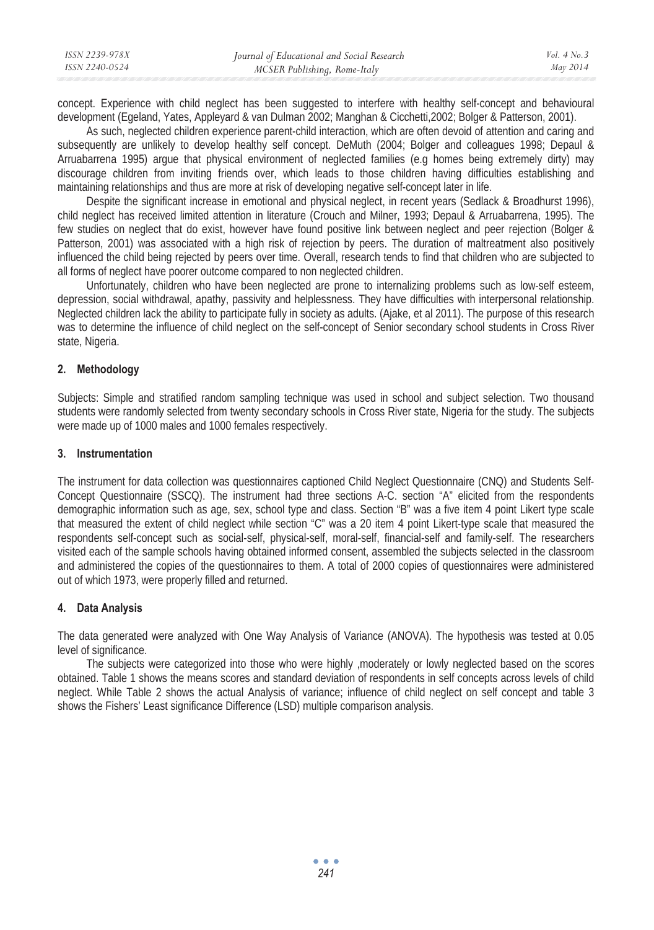| ISSN 2239-978X | Journal of Educational and Social Research | Vol. $4$ No. $3$ |
|----------------|--------------------------------------------|------------------|
| ISSN 2240-0524 | MCSER Publishing, Rome-Italy               | May 2014         |

concept. Experience with child neglect has been suggested to interfere with healthy self-concept and behavioural development (Egeland, Yates, Appleyard & van Dulman 2002; Manghan & Cicchetti,2002; Bolger & Patterson, 2001).

As such, neglected children experience parent-child interaction, which are often devoid of attention and caring and subsequently are unlikely to develop healthy self concept. DeMuth (2004; Bolger and colleagues 1998; Depaul & Arruabarrena 1995) argue that physical environment of neglected families (e.g homes being extremely dirty) may discourage children from inviting friends over, which leads to those children having difficulties establishing and maintaining relationships and thus are more at risk of developing negative self-concept later in life.

Despite the significant increase in emotional and physical neglect, in recent years (Sedlack & Broadhurst 1996), child neglect has received limited attention in literature (Crouch and Milner, 1993; Depaul & Arruabarrena, 1995). The few studies on neglect that do exist, however have found positive link between neglect and peer rejection (Bolger & Patterson, 2001) was associated with a high risk of rejection by peers. The duration of maltreatment also positively influenced the child being rejected by peers over time. Overall, research tends to find that children who are subjected to all forms of neglect have poorer outcome compared to non neglected children.

Unfortunately, children who have been neglected are prone to internalizing problems such as low-self esteem, depression, social withdrawal, apathy, passivity and helplessness. They have difficulties with interpersonal relationship. Neglected children lack the ability to participate fully in society as adults. (Ajake, et al 2011). The purpose of this research was to determine the influence of child neglect on the self-concept of Senior secondary school students in Cross River state, Nigeria.

## **2. Methodology**

Subjects: Simple and stratified random sampling technique was used in school and subject selection. Two thousand students were randomly selected from twenty secondary schools in Cross River state, Nigeria for the study. The subjects were made up of 1000 males and 1000 females respectively.

### **3. Instrumentation**

The instrument for data collection was questionnaires captioned Child Neglect Questionnaire (CNQ) and Students Self-Concept Questionnaire (SSCQ). The instrument had three sections A-C. section "A" elicited from the respondents demographic information such as age, sex, school type and class. Section "B" was a five item 4 point Likert type scale that measured the extent of child neglect while section "C" was a 20 item 4 point Likert-type scale that measured the respondents self-concept such as social-self, physical-self, moral-self, financial-self and family-self. The researchers visited each of the sample schools having obtained informed consent, assembled the subjects selected in the classroom and administered the copies of the questionnaires to them. A total of 2000 copies of questionnaires were administered out of which 1973, were properly filled and returned.

## **4. Data Analysis**

The data generated were analyzed with One Way Analysis of Variance (ANOVA). The hypothesis was tested at 0.05 level of significance.

The subjects were categorized into those who were highly , moderately or lowly neglected based on the scores obtained. Table 1 shows the means scores and standard deviation of respondents in self concepts across levels of child neglect. While Table 2 shows the actual Analysis of variance; influence of child neglect on self concept and table 3 shows the Fishers' Least significance Difference (LSD) multiple comparison analysis.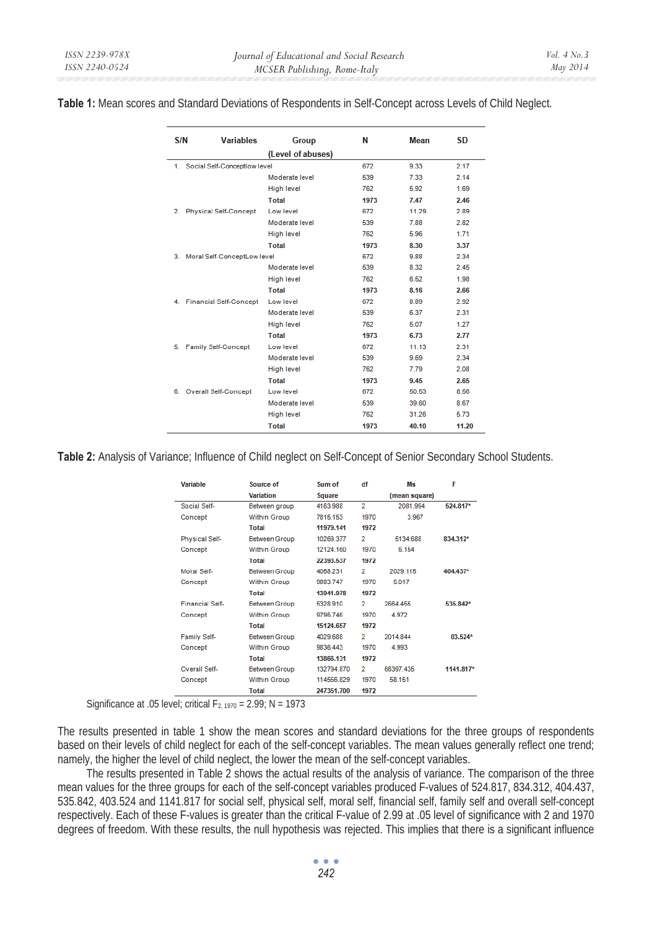**Table 1:** Mean scores and Standard Deviations of Respondents in Self-Concept across Levels of Child Neglect.

| S/N | <b>Variables</b>               | <b>Group</b>      | N    | Mean  | <b>SD</b> |
|-----|--------------------------------|-------------------|------|-------|-----------|
|     |                                | (Level of abuses) |      |       |           |
| 1.  | Social Self-Conceptiow level   |                   | 672  | 9.33  | 2.17      |
|     |                                | Moderate level    | 539  | 7.33  | 2.14      |
|     |                                | <b>High level</b> | 762  | 5.92  | 1.69      |
|     |                                | Total             | 1973 | 7.47  | 2.46      |
| 2.  | <b>Physical Self-Concept</b>   | Low level         | 672  | 11.29 | 2.89      |
|     |                                | Moderate level    | 539  | 7.88  | 2.82      |
|     |                                | <b>High level</b> | 762  | 5.96  | 1.71      |
|     |                                | Total             | 1973 | 8.30  | 3.37      |
|     | 3. Moral Self-ConceptLow level |                   | 672  | 9.88  | 2.34      |
|     |                                | Moderate level    | 539  | 8.32  | 2.45      |
|     |                                | <b>High level</b> | 762  | 6.52  | 1.98      |
|     |                                | Total             | 1973 | 8.16  | 2.66      |
|     | 4. Financial Self-Concept      | Low level         | 672  | 8.89  | 2.92      |
|     |                                | Moderate level    | 539  | 6.37  | 2.31      |
|     |                                | <b>High level</b> | 762  | 5.07  | 1.27      |
|     |                                | Total             | 1973 | 6.73  | 2.77      |
| 5.  | <b>Family Self-Concept</b>     | Low level         | 672  | 11.13 | 2.31      |
|     |                                | Moderate level    | 539  | 9.69  | 2.34      |
|     |                                | <b>High level</b> | 762  | 7.79  | 2.08      |
|     |                                | Total             | 1973 | 9.45  | 2.65      |
| 6.  | <b>Overall Self-Concept</b>    | Low level         | 672  | 50.53 | 8.56      |
|     |                                | Moderate level    | 539  | 39.60 | 8.67      |
|     |                                | <b>High level</b> | 762  | 31.26 | 5.73      |
|     |                                | Total             | 1973 | 40.10 | 11.20     |

**Table 2:** Analysis of Variance; Influence of Child neglect on Self-Concept of Senior Secondary School Students.

| Variable               | Source of            | Sum of        | df             | Ms            | F         |  |
|------------------------|----------------------|---------------|----------------|---------------|-----------|--|
|                        | Variation            | <b>Square</b> |                | (mean square) |           |  |
| Social Self-           | Between group        | 4163.988      | $\overline{2}$ | 2081.994      | 524.817*  |  |
| Concept                | <b>Within Group</b>  | 7815.153      | 1970           | 3.967         |           |  |
|                        | Total                | 11979.141     | 1972           |               |           |  |
| Physical Self-         | <b>Between Group</b> | 10269.377     | $\overline{2}$ | 5134.688      | 834.312*  |  |
| Concept                | <b>Within Group</b>  | 12124.160     | 1970           | 6.154         |           |  |
|                        | <b>Total</b>         | 22393.537     | 1972           |               |           |  |
| Moral Self-            | <b>Between Group</b> | 4058.231      | $\overline{2}$ | 2029 115      | 404.437*  |  |
| Concept                | <b>Within Group</b>  | 9883.747      | 1970           | 5.017         |           |  |
|                        | <b>Total</b>         | 13941.978     | 1972           |               |           |  |
| <b>Financial Self-</b> | <b>Between Group</b> | 5328.910      | 2              | 2664.455      | 535.842*  |  |
| Concept                | <b>Within Group</b>  | 9795.746      | 1970           | 4.972         |           |  |
|                        | Total                | 15124.657     | 1972           |               |           |  |
| <b>Family Self-</b>    | <b>Between Group</b> | 4029 688      | 2              | 2014 844      | $03.524*$ |  |
| Concept                | <b>Within Group</b>  | 9836.443      | 1970           | 4.993         |           |  |
|                        | <b>Total</b>         | 13866.131     | 1972           |               |           |  |
| Overall Self-          | <b>Between Group</b> | 132794.870    | $\overline{2}$ | 66397.435     | 1141.817* |  |
| Concept                | <b>Within Group</b>  | 114556.829    | 1970           | 58.151        |           |  |
|                        | Total                | 247351.700    | 1972           |               |           |  |

Significance at .05 level; critical  $F_{2, 1970} = 2.99$ ; N = 1973

The results presented in table 1 show the mean scores and standard deviations for the three groups of respondents based on their levels of child neglect for each of the self-concept variables. The mean values generally reflect one trend; namely, the higher the level of child neglect, the lower the mean of the self-concept variables.

The results presented in Table  $\tilde{2}$  shows the actual results of the analysis of variance. The comparison of the three mean values for the three groups for each of the self-concept variables produced F-values of 524.817, 834.312, 404.437, 535.842, 403.524 and 1141.817 for social self, physical self, moral self, financial self, family self and overall self-concept respectively. Each of these F-values is greater than the critical F-value of 2.99 at .05 level of significance with 2 and 1970 degrees of freedom. With these results, the null hypothesis was rejected. This implies that there is a significant influence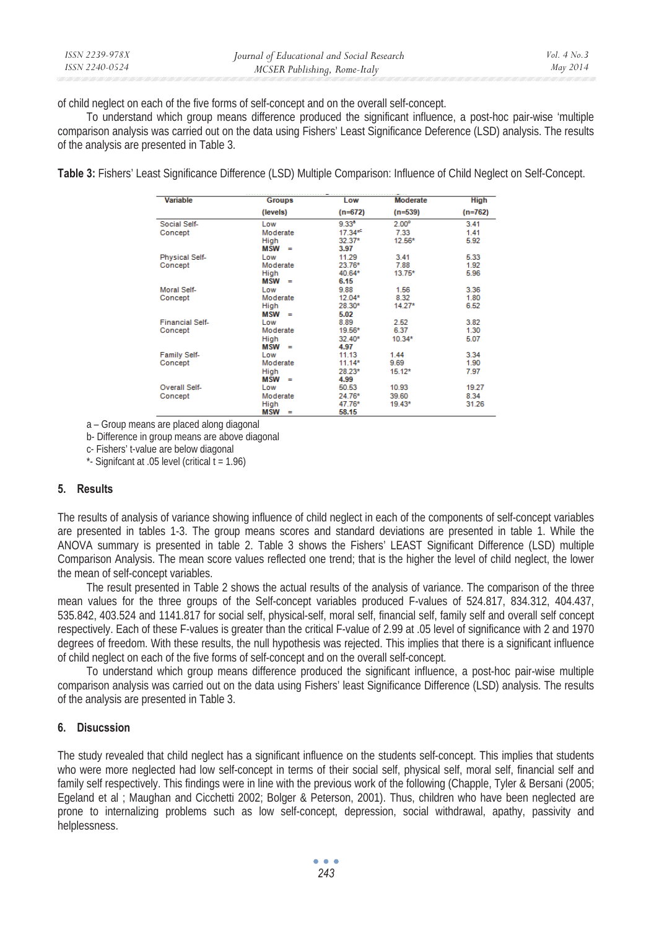| ISSN 2239-978X | Journal of Educational and Social Research | Vol. $4$ No. $3$ |
|----------------|--------------------------------------------|------------------|
| ISSN 2240-0524 | MCSER Publishing, Rome-Italy               | May 2014         |

of child neglect on each of the five forms of self-concept and on the overall self-concept.

To understand which group means difference produced the significant influence, a post-hoc pair-wise 'multiple comparison analysis was carried out on the data using Fishers' Least Significance Deference (LSD) analysis. The results of the analysis are presented in Table 3.

**Table 3:** Fishers' Least Significance Difference (LSD) Multiple Comparison: Influence of Child Neglect on Self-Concept.

| <b>Variable</b>        | <b>Groups</b>          | Low            | <b>Moderate</b>   | <b>High</b> |
|------------------------|------------------------|----------------|-------------------|-------------|
|                        | (levels)               | $(n=672)$      | $(n=539)$         | $(n=762)$   |
| Social Self-           | Low                    | $9.33^{\circ}$ | 2.00 <sup>o</sup> | 3.41        |
| Concept                | Moderate               | $17.34*$       | 7.33              | 1.41        |
|                        | High                   | $32.37*$       | $12.56*$          | 5.92        |
|                        | $MSW =$                | 3.97           |                   |             |
| Physical Self-         | Low                    | 11.29          | 3.41              | 5.33        |
| Concept                | Moderate               | 23.76*         | 7.88              | 1.92        |
|                        | High                   | 40.64*         | $13.75*$          | 5.96        |
|                        | <b>MSW</b><br>$=$      | 6.15           |                   |             |
| Moral Self-            | Low                    | 9.88           | 1.56              | 3.36        |
| Concept                | Moderate               | $12.04*$       | 8.32              | 1.80        |
|                        | High                   | 28.30*         | $14.27*$          | 6.52        |
|                        | <b>MSW</b><br>$\equiv$ | 5.02           |                   |             |
| <b>Financial Self-</b> | Low                    | 8.89           | 2.52              | 3.82        |
| Concept                | Moderate               | 19.56*         | 6.37              | 1.30        |
|                        | High                   | $32.40*$       | $10.34*$          | 5.07        |
|                        | <b>MSW</b><br>$=$      | 4.97           |                   |             |
| <b>Family Self-</b>    | Low                    | 11.13          | 1.44              | 3.34        |
| Concept                | Moderate               | $11.14*$       | 9.69              | 1.90        |
|                        | High                   | 28.23*         | $15.12*$          | 7.97        |
|                        | <b>MSW</b><br>$\equiv$ | 4.99           |                   |             |
| Overall Self-          | Low                    | 50.53          | 10.93             | 19.27       |
| Concept                | Moderate               | 24.76*         | 39.60             | 8.34        |
|                        | High                   | 47.76*         | 19.43*            | 31.26       |
|                        | <b>MCM</b><br>-        | <b>ER 45</b>   |                   |             |

a – Group means are placed along diagonal

b- Difference in group means are above diagonal

c- Fishers' t-value are below diagonal

 $*$ - Signifcant at .05 level (critical  $t = 1.96$ )

#### **5. Results**

The results of analysis of variance showing influence of child neglect in each of the components of self-concept variables are presented in tables 1-3. The group means scores and standard deviations are presented in table 1. While the ANOVA summary is presented in table 2. Table 3 shows the Fishers' LEAST Significant Difference (LSD) multiple Comparison Analysis. The mean score values reflected one trend; that is the higher the level of child neglect, the lower the mean of self-concept variables.

The result presented in Table 2 shows the actual results of the analysis of variance. The comparison of the three mean values for the three groups of the Self-concept variables produced F-values of 524.817, 834.312, 404.437, 535.842, 403.524 and 1141.817 for social self, physical-self, moral self, financial self, family self and overall self concept respectively. Each of these F-values is greater than the critical F-value of 2.99 at .05 level of significance with 2 and 1970 degrees of freedom. With these results, the null hypothesis was rejected. This implies that there is a significant influence of child neglect on each of the five forms of self-concept and on the overall self-concept.

To understand which group means difference produced the significant influence, a post-hoc pair-wise multiple comparison analysis was carried out on the data using Fishers' least Significance Difference (LSD) analysis. The results of the analysis are presented in Table 3.

#### **6. Disucssion**

The study revealed that child neglect has a significant influence on the students self-concept. This implies that students who were more neglected had low self-concept in terms of their social self, physical self, moral self, financial self and family self respectively. This findings were in line with the previous work of the following (Chapple, Tyler & Bersani (2005; Egeland et al ; Maughan and Cicchetti 2002; Bolger & Peterson, 2001). Thus, children who have been neglected are prone to internalizing problems such as low self-concept, depression, social withdrawal, apathy, passivity and helplessness.